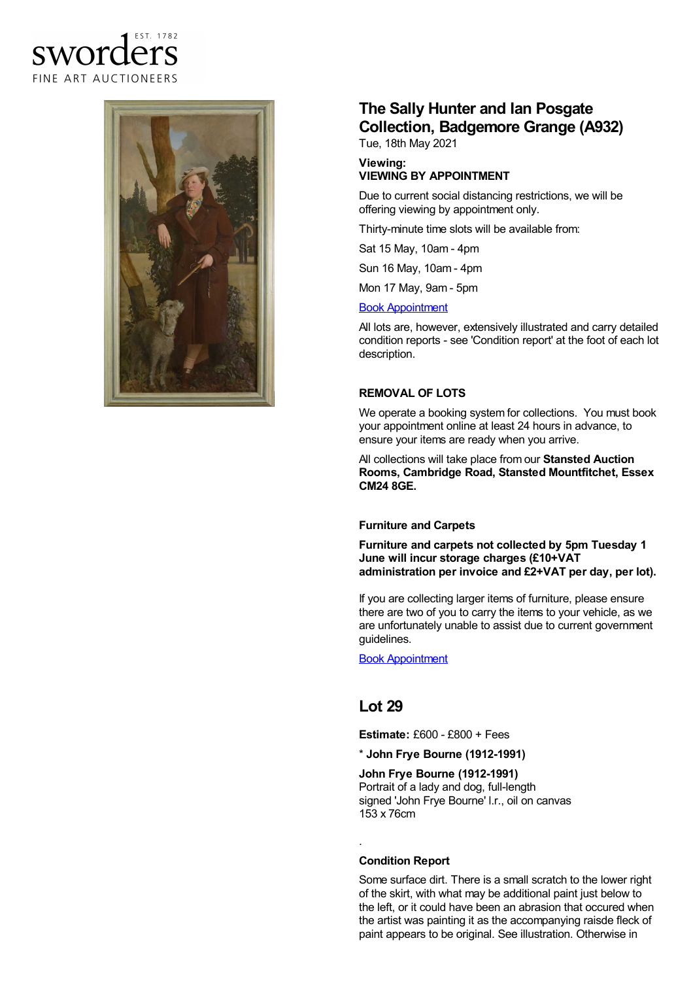## FST 1782 sworder FINE ART AUCTIONEERS



# **The Sally Hunter and Ian Posgate Collection, Badgemore Grange (A932)**

Tue, 18th May 2021

#### **Viewing: VIEWING BY APPOINTMENT**

Due to current social distancing restrictions, we will be offering viewing by appointment only.

Thirty-minute time slots will be available from:

Sat 15 May, 10am - 4pm

Sun 16 May, 10am - 4pm

Mon 17 May, 9am - 5pm

#### Book [Appointment](https://www.sworder.co.uk/appointments/)

All lots are, however, extensively illustrated and carry detailed condition reports - see 'Condition report' at the foot of each lot description.

#### **REMOVAL OF LOTS**

We operate a booking system for collections. You must book your appointment online at least 24 hours in advance, to ensure your items are ready when you arrive.

All collections will take place from our **Stansted Auction Rooms, Cambridge Road, Stansted Mountfitchet, Essex CM24 8GE.**

### **Furniture and Carpets**

**Furniture and carpets not collected by 5pm Tuesday 1 June will incur storage charges (£10+VAT administration per invoice and £2+VAT per day, per lot).**

If you are collecting larger items of furniture, please ensure there are two of you to carry the items to your vehicle, as we are unfortunately unable to assist due to current government guidelines.

Book [Appointment](https://www.sworder.co.uk/appointments/)

### **Lot 29**

**Estimate:** £600 - £800 + Fees

\* **John Frye Bourne (1912-1991)**

**John Frye Bourne (1912-1991)** Portrait of a lady and dog, full-length signed 'John Frye Bourne' l.r., oil on canvas 153 x 76cm

### **Condition Report**

.

Some surface dirt. There is a small scratch to the lower right of the skirt, with what may be additional paint just below to the left, or it could have been an abrasion that occured when the artist was painting it as the accompanying raisde fleck of paint appears to be original. See illustration. Otherwise in